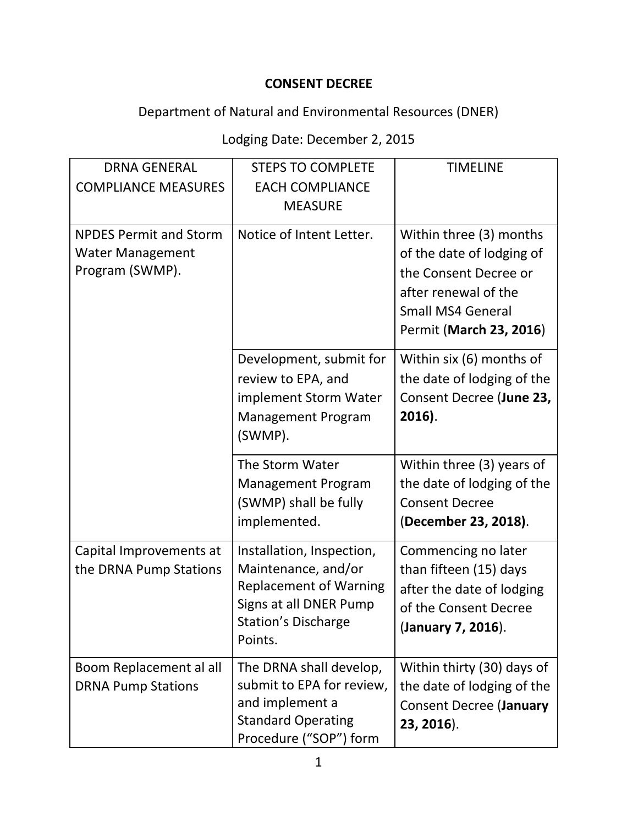## **CONSENT DECREE**

## Department of Natural and Environmental Resources (DNER)

## Lodging Date: December 2, 2015

| <b>DRNA GENERAL</b><br><b>COMPLIANCE MEASURES</b>                           | <b>STEPS TO COMPLETE</b><br><b>EACH COMPLIANCE</b><br><b>MEASURE</b>                                                                                 | <b>TIMELINE</b>                                                                                                                                              |
|-----------------------------------------------------------------------------|------------------------------------------------------------------------------------------------------------------------------------------------------|--------------------------------------------------------------------------------------------------------------------------------------------------------------|
| <b>NPDES Permit and Storm</b><br><b>Water Management</b><br>Program (SWMP). | Notice of Intent Letter.                                                                                                                             | Within three (3) months<br>of the date of lodging of<br>the Consent Decree or<br>after renewal of the<br><b>Small MS4 General</b><br>Permit (March 23, 2016) |
|                                                                             | Development, submit for<br>review to EPA, and<br>implement Storm Water<br>Management Program<br>(SWMP).                                              | Within six (6) months of<br>the date of lodging of the<br>Consent Decree (June 23,<br>$2016$ ).                                                              |
|                                                                             | The Storm Water<br><b>Management Program</b><br>(SWMP) shall be fully<br>implemented.                                                                | Within three (3) years of<br>the date of lodging of the<br><b>Consent Decree</b><br>(December 23, 2018).                                                     |
| Capital Improvements at<br>the DRNA Pump Stations                           | Installation, Inspection,<br>Maintenance, and/or<br><b>Replacement of Warning</b><br>Signs at all DNER Pump<br><b>Station's Discharge</b><br>Points. | Commencing no later<br>than fifteen (15) days<br>after the date of lodging<br>of the Consent Decree<br>(January 7, 2016).                                    |
| Boom Replacement al all<br><b>DRNA Pump Stations</b>                        | The DRNA shall develop,<br>submit to EPA for review,<br>and implement a<br><b>Standard Operating</b><br>Procedure ("SOP") form                       | Within thirty (30) days of<br>the date of lodging of the<br><b>Consent Decree (January</b><br>23, 2016).                                                     |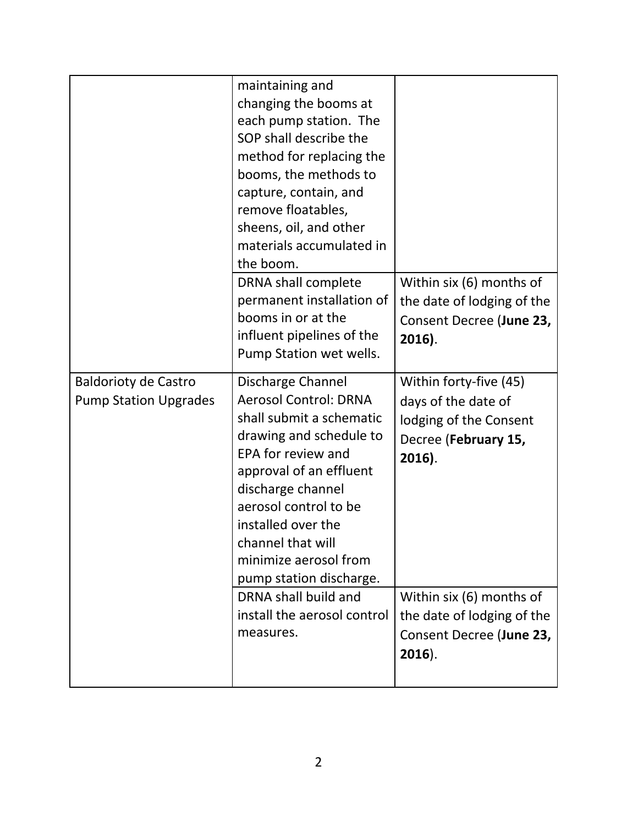|                                                             | maintaining and<br>changing the booms at<br>each pump station. The<br>SOP shall describe the<br>method for replacing the<br>booms, the methods to<br>capture, contain, and<br>remove floatables,<br>sheens, oil, and other<br>materials accumulated in<br>the boom.<br>DRNA shall complete<br>permanent installation of<br>booms in or at the<br>influent pipelines of the<br>Pump Station wet wells. | Within six (6) months of<br>the date of lodging of the<br>Consent Decree (June 23,<br>2016).                                                                                                                 |
|-------------------------------------------------------------|-------------------------------------------------------------------------------------------------------------------------------------------------------------------------------------------------------------------------------------------------------------------------------------------------------------------------------------------------------------------------------------------------------|--------------------------------------------------------------------------------------------------------------------------------------------------------------------------------------------------------------|
| <b>Baldorioty de Castro</b><br><b>Pump Station Upgrades</b> | Discharge Channel<br><b>Aerosol Control: DRNA</b><br>shall submit a schematic<br>drawing and schedule to<br>EPA for review and<br>approval of an effluent<br>discharge channel<br>aerosol control to be<br>installed over the<br>channel that will<br>minimize aerosol from<br>pump station discharge.<br>DRNA shall build and<br>install the aerosol control<br>measures.                            | Within forty-five (45)<br>days of the date of<br>lodging of the Consent<br>Decree (February 15,<br>2016).<br>Within six (6) months of<br>the date of lodging of the<br>Consent Decree (June 23,<br>$2016$ ). |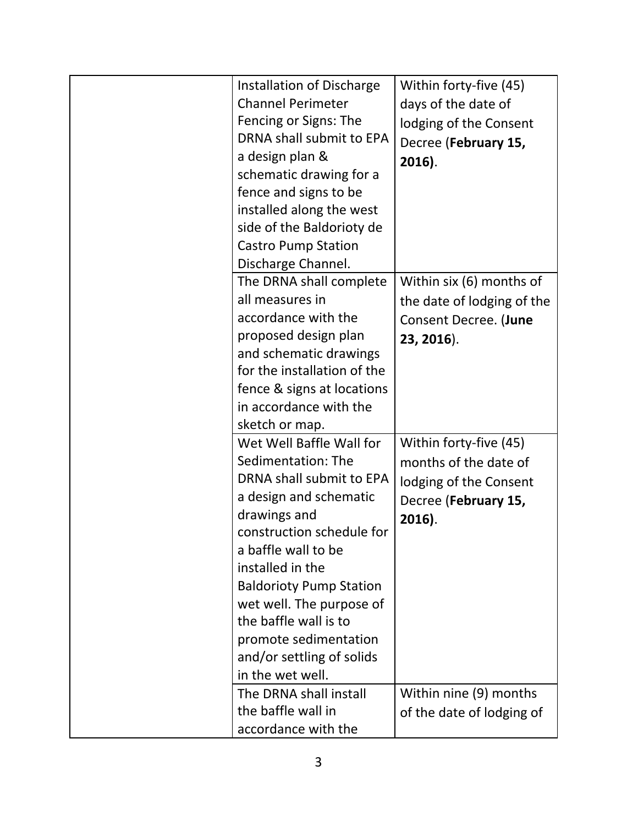| Installation of Discharge<br><b>Channel Perimeter</b><br>Fencing or Signs: The<br>DRNA shall submit to EPA<br>a design plan &<br>schematic drawing for a<br>fence and signs to be<br>installed along the west<br>side of the Baldorioty de                                                                                                                    | Within forty-five (45)<br>days of the date of<br>lodging of the Consent<br>Decree (February 15,<br>$2016$ ).   |
|---------------------------------------------------------------------------------------------------------------------------------------------------------------------------------------------------------------------------------------------------------------------------------------------------------------------------------------------------------------|----------------------------------------------------------------------------------------------------------------|
| <b>Castro Pump Station</b><br>Discharge Channel.<br>The DRNA shall complete<br>all measures in                                                                                                                                                                                                                                                                | Within six (6) months of<br>the date of lodging of the                                                         |
| accordance with the<br>proposed design plan<br>and schematic drawings<br>for the installation of the<br>fence & signs at locations<br>in accordance with the<br>sketch or map.                                                                                                                                                                                | Consent Decree. (June<br>23, 2016).                                                                            |
| Wet Well Baffle Wall for<br>Sedimentation: The<br>DRNA shall submit to EPA<br>a design and schematic<br>drawings and<br>construction schedule for<br>a baffle wall to be<br>installed in the<br><b>Baldorioty Pump Station</b><br>wet well. The purpose of<br>the baffle wall is to<br>promote sedimentation<br>and/or settling of solids<br>in the wet well. | Within forty-five (45)<br>months of the date of<br>lodging of the Consent<br>Decree (February 15,<br>$2016$ ). |
| The DRNA shall install<br>the baffle wall in<br>accordance with the                                                                                                                                                                                                                                                                                           | Within nine (9) months<br>of the date of lodging of                                                            |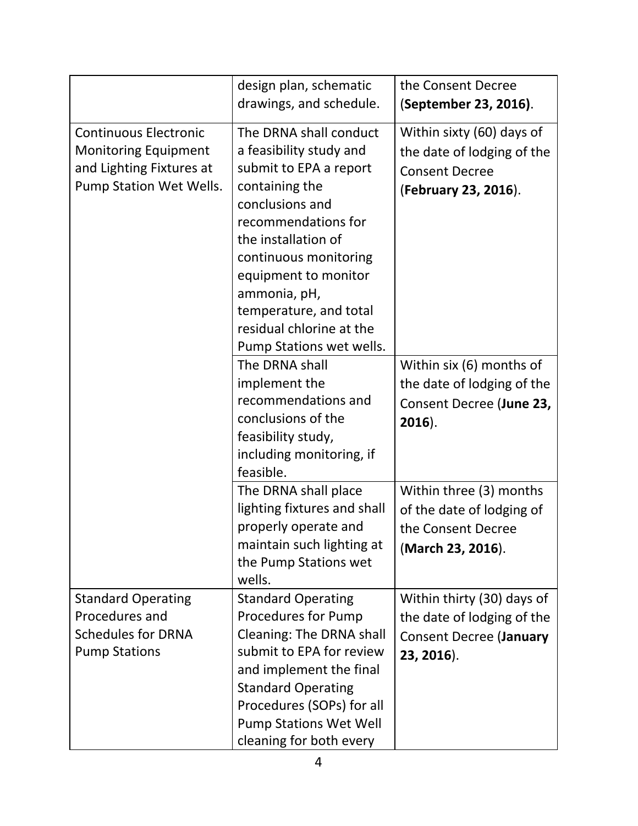|                                                                                                                    | design plan, schematic<br>drawings, and schedule.                                                                                                                                                                                                                                                                 | the Consent Decree<br>(September 23, 2016).                                                              |
|--------------------------------------------------------------------------------------------------------------------|-------------------------------------------------------------------------------------------------------------------------------------------------------------------------------------------------------------------------------------------------------------------------------------------------------------------|----------------------------------------------------------------------------------------------------------|
| <b>Continuous Electronic</b><br><b>Monitoring Equipment</b><br>and Lighting Fixtures at<br>Pump Station Wet Wells. | The DRNA shall conduct<br>a feasibility study and<br>submit to EPA a report<br>containing the<br>conclusions and<br>recommendations for<br>the installation of<br>continuous monitoring<br>equipment to monitor<br>ammonia, pH,<br>temperature, and total<br>residual chlorine at the<br>Pump Stations wet wells. | Within sixty (60) days of<br>the date of lodging of the<br><b>Consent Decree</b><br>(February 23, 2016). |
|                                                                                                                    | The DRNA shall<br>implement the<br>recommendations and<br>conclusions of the<br>feasibility study,<br>including monitoring, if<br>feasible.                                                                                                                                                                       | Within six (6) months of<br>the date of lodging of the<br>Consent Decree (June 23,<br>$2016$ ).          |
|                                                                                                                    | The DRNA shall place<br>lighting fixtures and shall<br>properly operate and<br>maintain such lighting at<br>the Pump Stations wet<br>wells.                                                                                                                                                                       | Within three (3) months<br>of the date of lodging of<br>the Consent Decree<br>(March 23, 2016).          |
| <b>Standard Operating</b><br>Procedures and<br><b>Schedules for DRNA</b><br><b>Pump Stations</b>                   | <b>Standard Operating</b><br><b>Procedures for Pump</b><br>Cleaning: The DRNA shall<br>submit to EPA for review<br>and implement the final<br><b>Standard Operating</b><br>Procedures (SOPs) for all<br><b>Pump Stations Wet Well</b><br>cleaning for both every                                                  | Within thirty (30) days of<br>the date of lodging of the<br><b>Consent Decree (January</b><br>23, 2016). |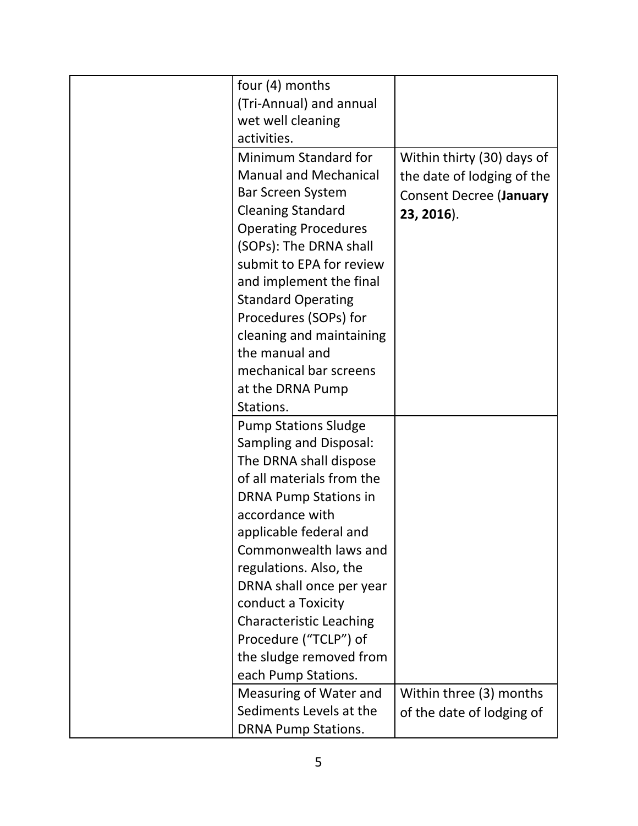| four (4) months                              |                                |
|----------------------------------------------|--------------------------------|
| (Tri-Annual) and annual<br>wet well cleaning |                                |
| activities.                                  |                                |
| Minimum Standard for                         | Within thirty (30) days of     |
| <b>Manual and Mechanical</b>                 | the date of lodging of the     |
| <b>Bar Screen System</b>                     | <b>Consent Decree (January</b> |
| <b>Cleaning Standard</b>                     | 23, 2016).                     |
| <b>Operating Procedures</b>                  |                                |
| (SOPs): The DRNA shall                       |                                |
| submit to EPA for review                     |                                |
| and implement the final                      |                                |
| <b>Standard Operating</b>                    |                                |
| Procedures (SOPs) for                        |                                |
| cleaning and maintaining                     |                                |
| the manual and                               |                                |
| mechanical bar screens                       |                                |
| at the DRNA Pump                             |                                |
| Stations.                                    |                                |
| <b>Pump Stations Sludge</b>                  |                                |
| Sampling and Disposal:                       |                                |
| The DRNA shall dispose                       |                                |
| of all materials from the                    |                                |
| <b>DRNA Pump Stations in</b>                 |                                |
| accordance with                              |                                |
| applicable federal and                       |                                |
| Commonwealth laws and                        |                                |
| regulations. Also, the                       |                                |
| DRNA shall once per year                     |                                |
| conduct a Toxicity                           |                                |
| <b>Characteristic Leaching</b>               |                                |
| Procedure ("TCLP") of                        |                                |
| the sludge removed from                      |                                |
| each Pump Stations.                          |                                |
| Measuring of Water and                       | Within three (3) months        |
| Sediments Levels at the                      | of the date of lodging of      |
| <b>DRNA Pump Stations.</b>                   |                                |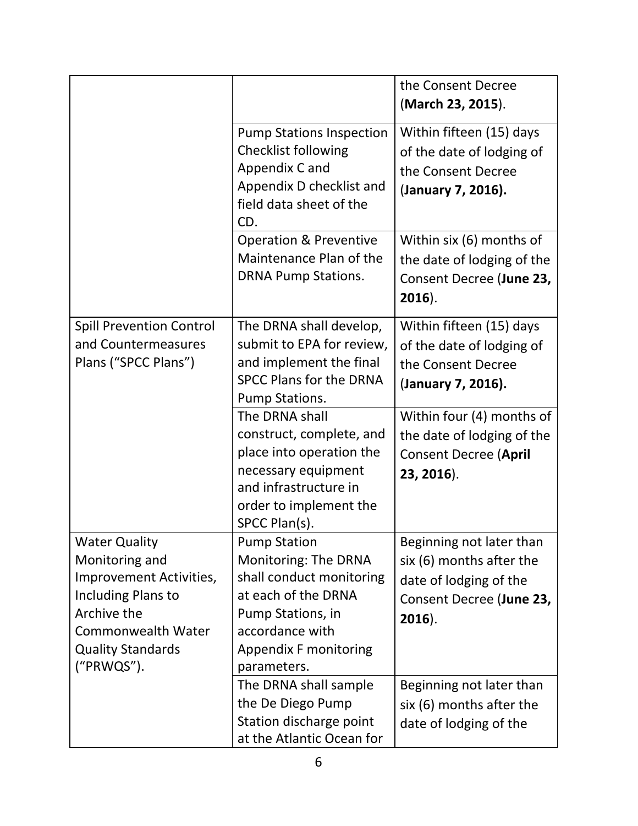|                                                                                                                                                                               |                                                                                                                                                                                       | the Consent Decree<br>(March 23, 2015).                                                                                 |
|-------------------------------------------------------------------------------------------------------------------------------------------------------------------------------|---------------------------------------------------------------------------------------------------------------------------------------------------------------------------------------|-------------------------------------------------------------------------------------------------------------------------|
|                                                                                                                                                                               | <b>Pump Stations Inspection</b><br><b>Checklist following</b><br>Appendix C and<br>Appendix D checklist and<br>field data sheet of the<br>CD.                                         | Within fifteen (15) days<br>of the date of lodging of<br>the Consent Decree<br>(January 7, 2016).                       |
|                                                                                                                                                                               | <b>Operation &amp; Preventive</b><br>Maintenance Plan of the<br><b>DRNA Pump Stations.</b>                                                                                            | Within six (6) months of<br>the date of lodging of the<br>Consent Decree (June 23,<br>$2016$ ).                         |
| <b>Spill Prevention Control</b><br>and Countermeasures<br>Plans ("SPCC Plans")                                                                                                | The DRNA shall develop,<br>submit to EPA for review,<br>and implement the final<br><b>SPCC Plans for the DRNA</b><br>Pump Stations.                                                   | Within fifteen (15) days<br>of the date of lodging of<br>the Consent Decree<br>(January 7, 2016).                       |
|                                                                                                                                                                               | The DRNA shall<br>construct, complete, and<br>place into operation the<br>necessary equipment<br>and infrastructure in<br>order to implement the<br>SPCC Plan(s).                     | Within four (4) months of<br>the date of lodging of the<br><b>Consent Decree (April</b><br>23, 2016).                   |
| <b>Water Quality</b><br>Monitoring and<br>Improvement Activities,<br>Including Plans to<br>Archive the<br><b>Commonwealth Water</b><br><b>Quality Standards</b><br>("PRWQS"). | <b>Pump Station</b><br>Monitoring: The DRNA<br>shall conduct monitoring<br>at each of the DRNA<br>Pump Stations, in<br>accordance with<br><b>Appendix F monitoring</b><br>parameters. | Beginning not later than<br>six (6) months after the<br>date of lodging of the<br>Consent Decree (June 23,<br>$2016$ ). |
|                                                                                                                                                                               | The DRNA shall sample<br>the De Diego Pump<br>Station discharge point<br>at the Atlantic Ocean for                                                                                    | Beginning not later than<br>six (6) months after the<br>date of lodging of the                                          |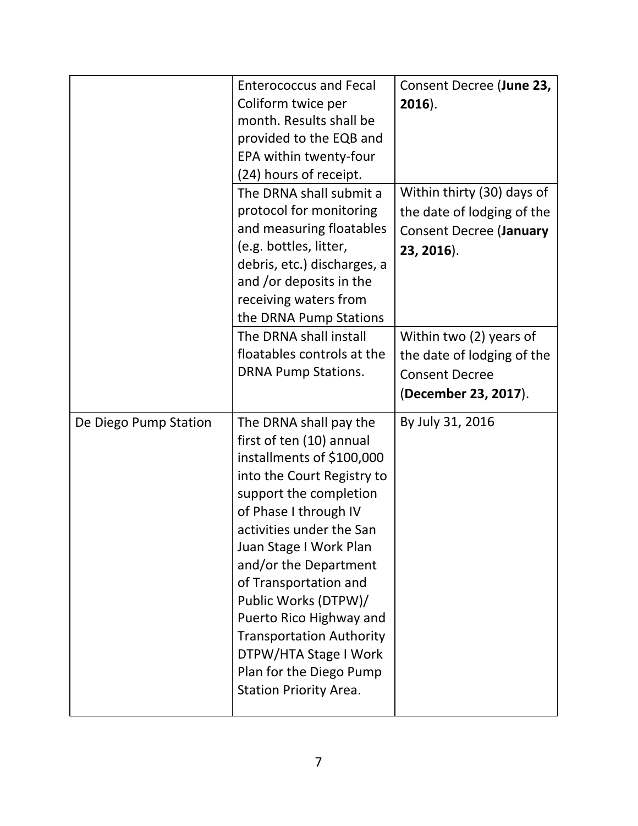|                       | <b>Enterococcus and Fecal</b><br>Coliform twice per<br>month. Results shall be<br>provided to the EQB and<br>EPA within twenty-four<br>(24) hours of receipt.                                                                                                                                                                                                                                                                                       | Consent Decree (June 23,<br>$2016$ ).                                                                    |
|-----------------------|-----------------------------------------------------------------------------------------------------------------------------------------------------------------------------------------------------------------------------------------------------------------------------------------------------------------------------------------------------------------------------------------------------------------------------------------------------|----------------------------------------------------------------------------------------------------------|
|                       | The DRNA shall submit a<br>protocol for monitoring<br>and measuring floatables<br>(e.g. bottles, litter,<br>debris, etc.) discharges, a<br>and /or deposits in the<br>receiving waters from<br>the DRNA Pump Stations                                                                                                                                                                                                                               | Within thirty (30) days of<br>the date of lodging of the<br><b>Consent Decree (January</b><br>23, 2016). |
|                       | The DRNA shall install<br>floatables controls at the<br><b>DRNA Pump Stations.</b>                                                                                                                                                                                                                                                                                                                                                                  | Within two (2) years of<br>the date of lodging of the<br><b>Consent Decree</b><br>(December 23, 2017).   |
| De Diego Pump Station | The DRNA shall pay the<br>first of ten (10) annual<br>installments of \$100,000<br>into the Court Registry to<br>support the completion<br>of Phase I through IV<br>activities under the San<br>Juan Stage I Work Plan<br>and/or the Department<br>of Transportation and<br>Public Works (DTPW)/<br>Puerto Rico Highway and<br><b>Transportation Authority</b><br>DTPW/HTA Stage I Work<br>Plan for the Diego Pump<br><b>Station Priority Area.</b> | By July 31, 2016                                                                                         |